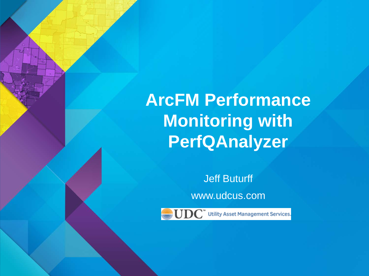**ArcFM Performance Monitoring with PerfQAnalyzer**

> Jeff Buturff www.udcus.com



**Utility Asset Management Services.**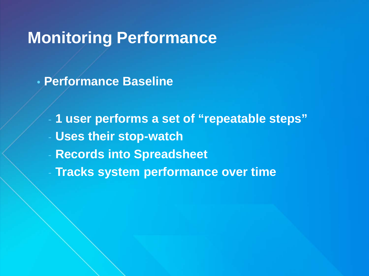# **Monitoring Performance**

• **Performance Baseline**

- **1 user performs a set of "repeatable steps" Uses their stop-watch Records into Spreadsheet Tracks system performance over time**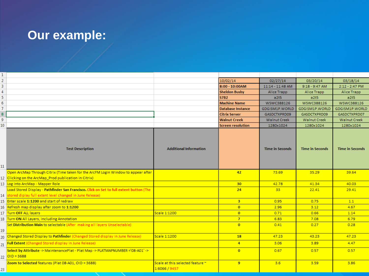## **Our example:**

| $\mathbf{1}$   |                                                                                                                |                                                   |                          |                        |                        |                        |
|----------------|----------------------------------------------------------------------------------------------------------------|---------------------------------------------------|--------------------------|------------------------|------------------------|------------------------|
| $\overline{2}$ |                                                                                                                |                                                   | 10/02/14                 | 02/27/14               | 03/20/14               | 03/18/14               |
| 3              |                                                                                                                |                                                   | $8:00 - 10:00AM$         | 11:14 - 11:48 AM       | $9:18 - 9:47$ AM       | 2:12 - 2:47 PM         |
| 4              |                                                                                                                |                                                   | <b>Sheldon Busby</b>     | Alice Trapp            | Alice Trapp            | Alice Trapp            |
| $\overline{5}$ |                                                                                                                |                                                   | <b>S7B2</b>              | a2t5                   | a2t5                   | a2t5                   |
| 6              |                                                                                                                |                                                   | <b>Machine Name</b>      | WSWC388126             | WSWC388126             | WSWC388126             |
| $\overline{7}$ |                                                                                                                |                                                   | <b>Database Instance</b> | GDGISM1P.WORLD         | GDGISM1P.WORLD         | GDGISM1P.WORLD         |
| 8              |                                                                                                                |                                                   | <b>Citrix Server</b>     | GASDCTXPRD09           | GASDCTXPRD09           | GASDCTXPRD07           |
| 9              |                                                                                                                |                                                   | <b>Walnut Creek</b>      | <b>Walnut Creek</b>    | <b>Walnut Creek</b>    | <b>Walnut Creek</b>    |
| 10             |                                                                                                                |                                                   | <b>Screen resolution</b> | 1280x1024              | 1280x1024              | 1280x1024              |
| 11             | <b>Test Description</b>                                                                                        | <b>Additional Information</b>                     |                          | <b>Time in Seconds</b> | <b>Time in Seconds</b> | <b>Time in Seconds</b> |
|                | Open ArcMap Through Citrix (Time taken for the ArcFM Login Window to appear after                              |                                                   | 42                       | 73.69                  | 35.29                  | 39.64                  |
|                | 12 Clicking on the ArcMap_Prod publication in Citrix)                                                          |                                                   |                          |                        |                        |                        |
|                | 13 Log into ArcMap - Mapper Role                                                                               |                                                   | 30                       | 42.78                  | 41.34                  | 40.03                  |
|                | Load Stored Display - Pathfinder San Francisco. Click on Set to full extent button (The                        |                                                   | 24                       | 33                     | 22.41                  | 29.41                  |
|                | 14 stored diplay full extent level changed in June Release)                                                    |                                                   |                          |                        |                        |                        |
|                | 15 Enter scale 1:1200 and start of redraw                                                                      |                                                   | $\overline{\mathbf{3}}$  | 0.95                   | 0.75                   | 1.1                    |
|                | 16 Refresh map display after zoom to 1:1200                                                                    |                                                   | $\overline{0}$           | 2.96                   | 3.12                   | 4.67                   |
|                | 17 Turn OFF ALL layers                                                                                         | Scale 1:1200                                      | $\overline{0}$           | 0.71                   | 0.66                   | 1.14                   |
|                | 18 Turn ON All Layers, including Annotation                                                                    |                                                   | $\overline{7}$           | 6.83                   | 7.08                   | 6.79                   |
| 19             | Set Distribution Main to selectable (After making all layers Unselectable)                                     |                                                   | $\overline{0}$           | 0.41                   | 0.27                   | 0.28                   |
| 20             | Changed Stored Display to Pathfinder (Changed Stored display in June Release)                                  | Scale 1:1200                                      | <b>18</b>                | 47.23                  | 43.23                  | 47.23                  |
| 21             | Full Extent (Changed Stored display in June Release)                                                           |                                                   | 4                        | 3.06                   | 3.89                   | 4.47                   |
|                | Select by Attribute -> MaintenancePlat - Plat Map -> PLATMAPNUMBER ='08-A01' -><br>$22 \overline{)101} = 3688$ |                                                   | $\overline{0}$           | 0.67                   | 0.57                   | 0.57                   |
| 23             | Zoom to Selected features (Plat 08-A01, OID = 3688)                                                            | Scale at this selected feature ~<br>1:6066 / 9457 | $\overline{9}$           | 3.6                    | 3.59                   | 3.86                   |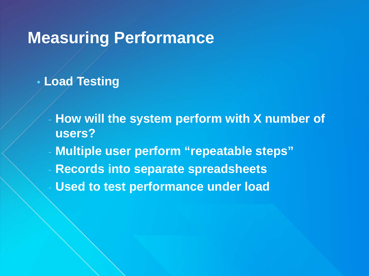# **Measuring Performance**

- **Load Testing**
	- How will the system perform with X number of **users?**
	- **Multiple user perform "repeatable steps"**
	- **Records into separate spreadsheets**
	- **Used to test performance under load**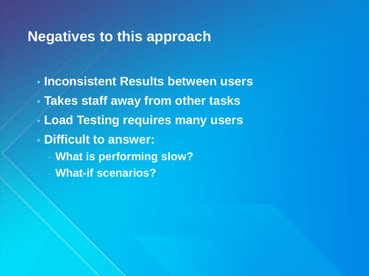#### **Negatives to this approach**

• **Inconsistent Results between users** • **Takes staff away from other tasks** • **Load Testing requires many users** • **Difficult to answer: What is performing slow?** - **What-if scenarios?**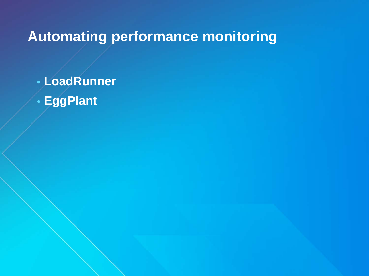# **Automating performance monitoring**

- **LoadRunner**
- **EggPlant**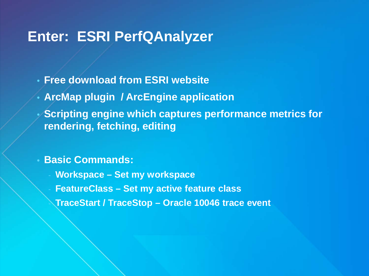#### **Enter: ESRI PerfQAnalyzer**

- **Free download from ESRI website**
- **ArcMap plugin / ArcEngine application**
- **Scripting engine which captures performance metrics for rendering, fetching, editing**

#### • **Basic Commands:**

- **Workspace – Set my workspace**
- **FeatureClass – Set my active feature class**
	- **TraceStart / TraceStop – Oracle 10046 trace event**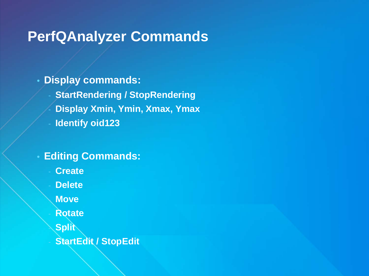#### **PerfQAnalyzer Commands**

#### • **Display commands:**

- **StartRendering / StopRendering**
- **Display Xmin, Ymin, Xmax, Ymax**
- **Identify oid123**

#### • **Editing Commands:**

- **Create**
- **Delete**
- **Move**
- **Rotate**
- **Split**
- **StartEdit / StopEdit**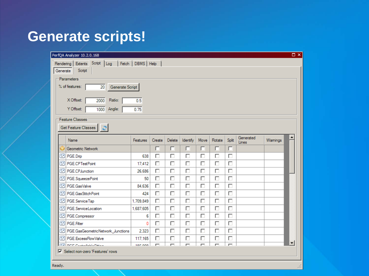# **Generate scripts!**

| PerfQA Analyzer 10.2.0.168                           |                |        |        |          |        |                |        |                    |         | $\Box$ $\times$      |
|------------------------------------------------------|----------------|--------|--------|----------|--------|----------------|--------|--------------------|---------|----------------------|
| Rendering Extents Script   Log   Fetch   DBMS   Help |                |        |        |          |        |                |        |                    |         |                      |
| Script<br>Generate                                   |                |        |        |          |        |                |        |                    |         |                      |
| Parameters                                           |                |        |        |          |        |                |        |                    |         |                      |
| % of features:<br>20<br>Generate Script              |                |        |        |          |        |                |        |                    |         |                      |
|                                                      |                |        |        |          |        |                |        |                    |         |                      |
| X Offset:<br>Ratio:<br>2000                          | 0.5            |        |        |          |        |                |        |                    |         |                      |
| Y Offset:<br>1000<br>Angle:                          | 0.75           |        |        |          |        |                |        |                    |         |                      |
| <b>Feature Classes</b>                               |                |        |        |          |        |                |        |                    |         |                      |
| Get Feature Classes   2                              |                |        |        |          |        |                |        |                    |         |                      |
|                                                      |                |        |        |          |        |                |        |                    |         |                      |
| Name                                                 | Features       | Create | Delete | Identify | Move   | Rotate         | Split  | Generated<br>Lines | Wamings |                      |
| Geometric Network                                    |                | г      | П      | г        | П      | г              | г      |                    |         |                      |
| PGE.Drip                                             | 638            | П      | $\Box$ | П        | П      | П              | П      |                    |         |                      |
| PGE.CPTestPoint                                      | 17.412         | П      | $\Box$ | $\Box$   | $\Box$ | $\Box$         | $\Box$ |                    |         |                      |
| $\overline{\phantom{a}}$<br>PGE.CPJunction           | 26.686         | П      | П      | $\Box$   | $\Box$ | г              | П      |                    |         |                      |
| $\Box$<br>PGE.SqueezePoint                           | 50             | $\Box$ | $\Box$ | $\Box$   | $\Box$ | $\Box$         | $\Box$ |                    |         |                      |
| PGE.GasValve                                         | 84.636         | П      | $\Box$ | $\Box$   | $\Box$ | $\Box$         | $\Box$ |                    |         |                      |
| PGE.GasStitchPoint                                   | 424            | $\Box$ | $\Box$ | $\Box$   | $\Box$ | $\Box$         | $\Box$ |                    |         |                      |
| PGE.ServiceTap                                       | 1.709.849      | $\Box$ | $\Box$ | $\Box$   | $\Box$ | $\Box$         | $\Box$ |                    |         |                      |
| PGE.ServiceLocation                                  | 1,687,605      | $\Box$ | П      | $\Box$   | $\Box$ | $\Box$         | $\Box$ |                    |         |                      |
| PGE.Compressor                                       | 6              | $\Box$ | $\Box$ | $\Box$   | $\Box$ | $\Box$         | $\Box$ |                    |         |                      |
| <b>DI PGE.Filter</b>                                 | 0              | $\Box$ | $\Box$ | $\Box$   | П      | $\Box$         | $\Box$ |                    |         |                      |
| PGE.GasGeometricNetwork_Junctions                    | 2.323          | П      | $\Box$ | $\Box$   | $\Box$ | $\Box$         | П      |                    |         |                      |
| <b>PGE ExcessFlowValve</b>                           | 117,165        | г      | П      | $\Box$   | $\Box$ | г              | П      |                    |         |                      |
| <b>Fall DOF CARRIELL FACE</b>                        | <b>IEC 000</b> | Н      | Н      | $\Box$   | Н      | $\blacksquare$ | $\Box$ |                    |         | $\blacktriangledown$ |
| <b>▽</b> Select non-zero 'Features' rows             |                |        |        |          |        |                |        |                    |         |                      |
| n a a duair                                          |                |        |        |          |        |                |        |                    |         |                      |

 $\cdot$ 

Ready.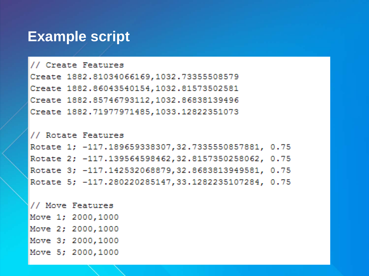#### **Example script**

// Create Features

Create 1882.81034066169,1032.73355508579

Create 1882.86043540154,1032.81573502581

Create 1882.85746793112,1032.86838139496

Create 1882.71977971485,1033.12822351073

// Rotate Features Rotate 1; -117.189659338307,32.7335550857881, 0.75 Rotate 2; -117.139564598462,32.8157350258062, 0.75 Rotate 3; -117.142532068879,32.8683813949581, 0.75 Rotate 5; -117.280220285147,33.1282235107284, 0.75

// Move Features Move 1; 2000, 1000 Move 2; 2000, 1000 Move 3; 2000, 1000

Move 5; 2000, 1000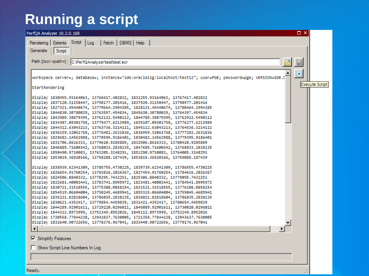# **Running a script**



Readv.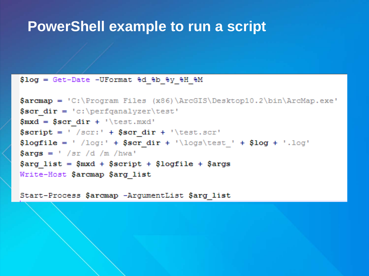#### **PowerShell example to run a script**

#### \$log = Get-Date -UFormat %d %b %y %H %M

```
\text{Sarcmap} = 'C:\Pregram \ Files (x86) \ArcGIS\Desktop10.2\bin\ArcMap.exe'Sscr dir = 'c:\perfganalyzer\test'
$mxd = $scr dir + '\test.mxd'
\text{Sscript} = ' / \text{scr} + \text{Sser dir} + ' \text{test.scr}'\text{ilogfile} = \text{log:} + \text{Scr dir} + \text{log} \text{test} + \text{ilog} + \text{log}\text{Sargs} = \frac{1}{\text{sr}} / \text{sr} / \text{d} / \text{m} / \text{hwa}\frac{1}{2} Sarg list = \frac{1}{2} mxd + \frac{1}{2} script + \frac{1}{2} logfile + \frac{1}{2} args
Write-Host Sarcmap Sarg list
```
Start-Process \$arcmap -ArgumentList \$arg list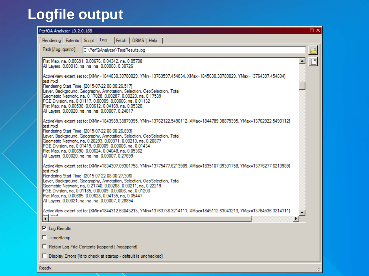# **Logfile output**

| PerfQA Analyzer 10.2.0.168                                                                                                                                                                                                                                                                                                                                                                                                                                                                                  |  | $\Box$ $\times$ |  |  |  |  |  |  |
|-------------------------------------------------------------------------------------------------------------------------------------------------------------------------------------------------------------------------------------------------------------------------------------------------------------------------------------------------------------------------------------------------------------------------------------------------------------------------------------------------------------|--|-----------------|--|--|--|--|--|--|
| Fetch   DBMS   Help<br>Rendering   Extents   Script<br>Log                                                                                                                                                                                                                                                                                                                                                                                                                                                  |  |                 |  |  |  |  |  |  |
| Path [/log: <path>]: C:\PerfQAnalyzer\TestResults.log</path>                                                                                                                                                                                                                                                                                                                                                                                                                                                |  |                 |  |  |  |  |  |  |
| Plat Map, na, 0.00691, 0.00676, 0.04342, na, 0.05708<br>All Layers, 0.00018, na, na, na, 0.00008, 0.30726                                                                                                                                                                                                                                                                                                                                                                                                   |  |                 |  |  |  |  |  |  |
| ActiveView extent set to: [XMin=1844830.30780029, YMin=13763597.454834, XMax=1845630.30780029, YMax=13764397.454834]<br>test mxd<br>Rendering Start Time: [2015-07-22 08:00:26,517]<br>Layer, Background, Geography, Annotation, Selection, GeoSelection, Total<br>Geometric Network, na, 0.17028, 0.00287, 0.00223, na, 0.17539<br>PGE.Division, na, 0.01117, 0.00009, 0.00006, na, 0.01132<br>Plat Map, na, 0.00538, 0.00612, 0.04169, na, 0.05320<br>All Layers, 0.00020, na, na, na, 0.00007, 0.24017   |  |                 |  |  |  |  |  |  |
| ActiveView extent set to: [XMin=1843989.38879395, YMin=13762122.5490112, XMax=1844789.38879395, YMax=13762922.5490112]<br>test mxd<br>Rendering Start Time: [2015-07-22 08:00:26,893]<br>Layer, Background, Geography, Annotation, Selection, GeoSelection, Total<br>Geometric Network, na. 0.20293, 0.00371, 0.00213, na. 0.20877<br>PGE.Division, na, 0.01419, 0.00009, 0.00006, na, 0.01434<br>Plat Map, na, 0.00690, 0.00624, 0.04048, na, 0.05362<br>All Layers, 0.00020, na, na, na, 0.00007, 0.27699 |  |                 |  |  |  |  |  |  |
| ActiveView extent set to: [XMin=1834307.09301758, YMin=13775477.6213989, XMax=1835107.09301758, YMax=13776277.6213989]<br>test.mxd<br>Rendering Start Time: [2015-07-22 08:00:27,306]<br>Layer, Background, Geography, Annotation, Selection, GeoSelection, Total<br>Geometric Network, na, 0.21740, 0.00268, 0.00211, na, 0.22219<br>PGE.Division. na. 0.01185. 0.00009. 0.00006. na. 0.01200<br>Plat Map, na, 0.00685, 0.00628, 0.04135, na, 0.05447<br>All Layers, 0.00021, na, na, na, 0.00007, 0.28894 |  |                 |  |  |  |  |  |  |
| ActiveView extent set to: [XMin=1844312.63043213, YMin=13763736.3214111, XMax=1845112.63043213, YMax=13764536.3214111]<br>ont mud<br>$\blacktriangleleft$                                                                                                                                                                                                                                                                                                                                                   |  |                 |  |  |  |  |  |  |
| $\nabla$ Log Results                                                                                                                                                                                                                                                                                                                                                                                                                                                                                        |  |                 |  |  |  |  |  |  |
| $\Box$ TimeStamp                                                                                                                                                                                                                                                                                                                                                                                                                                                                                            |  |                 |  |  |  |  |  |  |
| Retain Log File Contents [/append   /noappend]                                                                                                                                                                                                                                                                                                                                                                                                                                                              |  |                 |  |  |  |  |  |  |
| Display Errors [/d to check at startup - default is unchecked]                                                                                                                                                                                                                                                                                                                                                                                                                                              |  |                 |  |  |  |  |  |  |
| Readv.                                                                                                                                                                                                                                                                                                                                                                                                                                                                                                      |  |                 |  |  |  |  |  |  |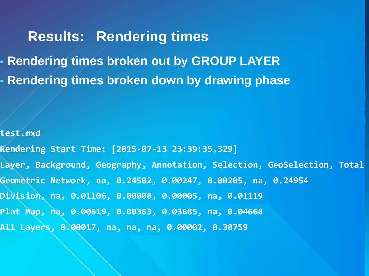#### **Results: Rendering times**

• **Rendering times broken out by GROUP LAYER** • **Rendering times broken down by drawing phase**

**test.mxd Rendering Start Time: [2015-07-13 23:39:35,329] Layer, Background, Geography, Annotation, Selection, GeoSelection, Total Geometric Network, na, 0.24502, 0.00247, 0.00205, na, 0.24954 Division, na, 0.01106, 0.00008, 0.00005, na, 0.01119 Plat Map, na, 0.00619, 0.00363, 0.03685, na, 0.04668 All Layers, 0.00017, na, na, na, 0.00002, 0.30759**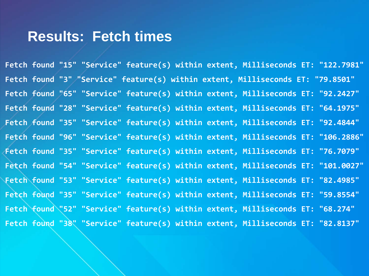#### **Results: Fetch times**

**Fetch found "15" "Service" feature(s) within extent, Milliseconds ET: "122.7981" Fetch found "3" "Service" feature(s) within extent, Milliseconds ET: "79.8501" Fetch found "65" "Service" feature(s) within extent, Milliseconds ET: "92.2427" Fetch found "28" "Service" feature(s) within extent, Milliseconds ET: "64.1975" Fetch found "35" "Service" feature(s) within extent, Milliseconds ET: "92.4844" Fetch found "96" "Service" feature(s) within extent, Milliseconds ET: "106.2886" Fetch found "35" "Service" feature(s) within extent, Milliseconds ET: "76.7079" Fetch found "54" "Service" feature(s) within extent, Milliseconds ET: "101.0027" Fetch found "53" "Service" feature(s) within extent, Milliseconds ET: "82.4985" Fetch found "35" "Service" feature(s) within extent, Milliseconds ET: "59.8554" Fetch found "52" "Service" feature(s) within extent, Milliseconds ET: "68.274" Fetch found "38" "Service" feature(s) within extent, Milliseconds ET: "82.8137"**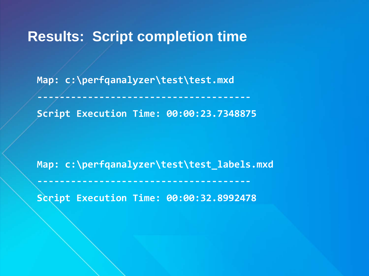#### **Results: Script completion time**

**Map: c:\perfqanalyzer\test\test.mxd**

**Script Execution Time: 00:00:23.7348875**

**--------------------------------------**

**Map: c:\perfqanalyzer\test\test\_labels.mxd**

**Script Execution Time: 00:00:32.8992478**

**--------------------------------------**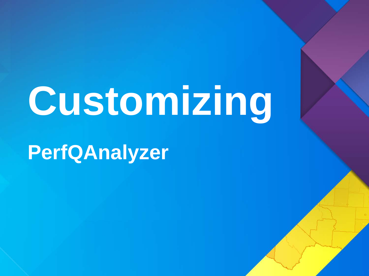# **Customizing**

**PerfQAnalyzer**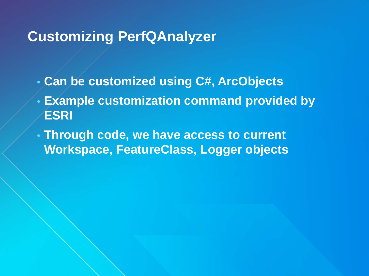#### **Customizing PerfQAnalyzer**

- **Can be customized using C#, ArcObjects**
- **Example customization command provided by ESRI**
- **Through code, we have access to current Workspace, FeatureClass, Logger objects**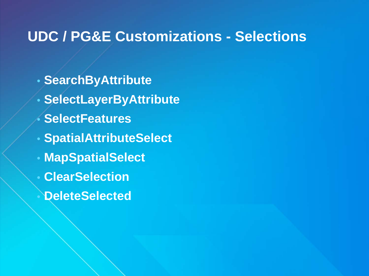#### **UDC / PG&E Customizations - Selections**

- **SearchByAttribute**
- **SelectLayerByAttribute**
- **SelectFeatures**
- **SpatialAttributeSelect**
- **MapSpatialSelect**
- **ClearSelection**
	- **DeleteSelected**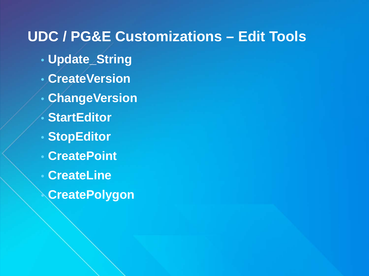## **UDC / PG&E Customizations – Edit Tools**

- **Update\_String**
- **CreateVersion**
- **ChangeVersion**
- **StartEditor**
- **StopEditor**
- **CreatePoint**
- **CreateLine**
	- **CreatePolygon**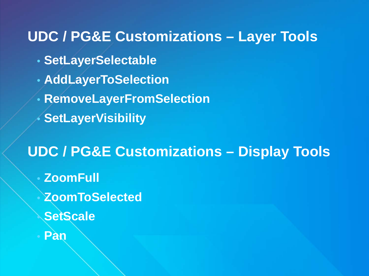#### **UDC / PG&E Customizations – Layer Tools**

- **SetLayerSelectable**
- **AddLayerToSelection**
- **RemoveLayerFromSelection**
- **SetLayerVisibility**

# **UDC / PG&E Customizations – Display Tools**

- **ZoomFull**
	- **ZoomToSelected**
	- **SetScale**
- **Pan**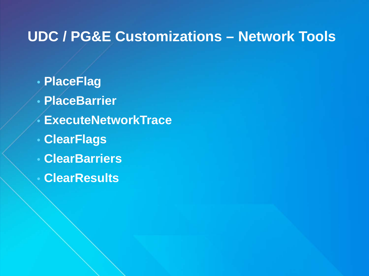#### **UDC / PG&E Customizations – Network Tools**

- **PlaceFlag**
- **PlaceBarrier**
- **ExecuteNetworkTrace**
- **ClearFlags**
- **ClearBarriers**
- **ClearResults**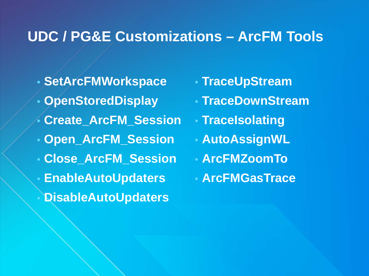#### **UDC / PG&E Customizations – ArcFM Tools**

- **SetArcFMWorkspace** • **OpenStoredDisplay** • **Create\_ArcFM\_Session** • **Open\_ArcFM\_Session** • **Close\_ArcFM\_Session**
- **EnableAutoUpdaters**
- **DisableAutoUpdaters**
- **TraceUpStream**
- **TraceDownStream**
- **TraceIsolating**
- **AutoAssignWL**
- **ArcFMZoomTo**
- **ArcFMGasTrace**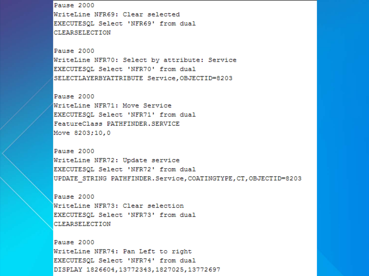Pause 2000 WriteLine NFR69: Clear selected EXECUTESQL Select 'NFR69' from dual **CLEARSELECTION** 

Pause 2000 WriteLine NFR70: Select by attribute: Service EXECUTESOL Select 'NFR70' from dual SELECTLAYERBYATTRIBUTE Service, OBJECTID=8203

Pause 2000 WriteLine NFR71: Move Service EXECUTESQL Select 'NFR71' from dual FeatureClass PATHFINDER.SERVICE Move 8203:10.0

Pause 2000 WriteLine NFR72: Update service EXECUTESQL Select 'NFR72' from dual UPDATE STRING PATHFINDER. Service, COATINGTYPE, CT, OBJECTID=8203

Pause 2000 WriteLine NFR73: Clear selection EXECUTESQL Select 'NFR73' from dual **CLEARSELECTION** 

Pause 2000 WriteLine NFR74: Pan Left to right EXECUTESOL Select 'NFR74' from dual DISPLAY 1826604, 13772343, 1827025, 13772697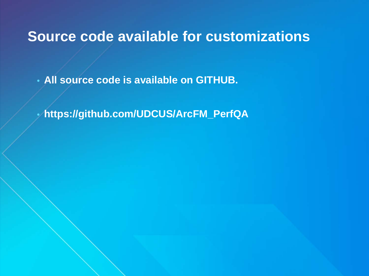**Source code available for customizations**

• **All source code is available on GITHUB.**

• **https://github.com/UDCUS/ArcFM\_PerfQA**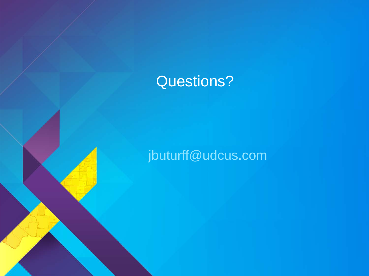# Questions?

# jbuturff@udcus.com